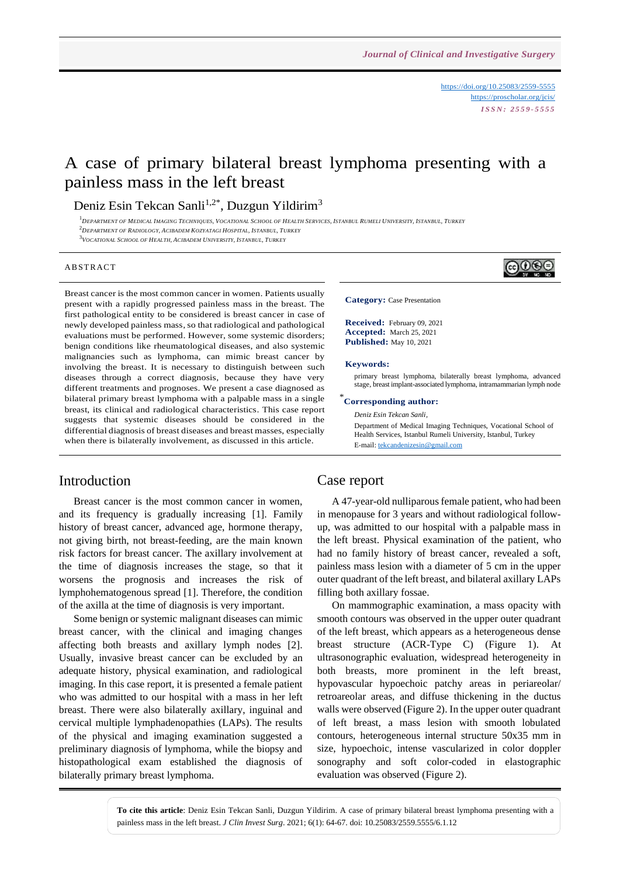<https://doi.org/10.25083/2559-5555> <https://proscholar.org/jcis/> *I S S N : 2 5 5 9 - 5 5 5 5*

# A case of primary bilateral breast lymphoma presenting with a painless mass in the left breast

## Deniz Esin Tekcan Sanli<sup>1,2\*</sup>, Duzgun Yildirim<sup>3</sup>

<sup>1</sup>DEPARTMENT OF MEDICAL IMAGING TECHNIQUES, VOCATIONAL SCHOOL OF HEALTH SERVICES, ISTANBUL RUMELI UNIVERSITY, ISTANBUL, TURKEY

<sup>2</sup>*DEPARTMENT OF RADIOLOGY, ACIBADEM KOZYATAGI HOSPITAL, ISTANBUL, TURKEY*

3 *VOCATIONAL SCHOOL OF HEALTH, ACIBADEM UNIVERSITY, ISTANBUL, TURKEY*

#### **ABSTRACT**

Breast cancer is the most common cancer in women. Patients usually present with a rapidly progressed painless mass in the breast. The first pathological entity to be considered is breast cancer in case of newly developed painless mass, so that radiological and pathological evaluations must be performed. However, some systemic disorders; benign conditions like rheumatological diseases, and also systemic malignancies such as lymphoma, can mimic breast cancer by involving the breast. It is necessary to distinguish between such diseases through a correct diagnosis, because they have very different treatments and prognoses. We present a case diagnosed as bilateral primary breast lymphoma with a palpable mass in a single breast, its clinical and radiological characteristics. This case report suggests that systemic diseases should be considered in the differential diagnosis of breast diseases and breast masses, especially when there is bilaterally involvement, as discussed in this article.

## Introduction

Breast cancer is the most common cancer in women, and its frequency is gradually increasing [1]. Family history of breast cancer, advanced age, hormone therapy, not giving birth, not breast-feeding, are the main known risk factors for breast cancer. The axillary involvement at the time of diagnosis increases the stage, so that it worsens the prognosis and increases the risk of lymphohematogenous spread [1]. Therefore, the condition of the axilla at the time of diagnosis is very important.

Some benign or systemic malignant diseases can mimic breast cancer, with the clinical and imaging changes affecting both breasts and axillary lymph nodes [2]. Usually, invasive breast cancer can be excluded by an adequate history, physical examination, and radiological imaging. In this case report, it is presented a female patient who was admitted to our hospital with a mass in her left breast. There were also bilaterally axillary, inguinal and cervical multiple lymphadenopathies (LAPs). The results of the physical and imaging examination suggested a preliminary diagnosis of lymphoma, while the biopsy and histopathological exam established the diagnosis of bilaterally primary breast lymphoma.

@©®€

**Received:** February 09, 2021 **Accepted:** March 25, 2021 **Published:** May 10, 2021

**Category:** Case Presentation

#### **Keywords:**

primary breast lymphoma, bilaterally breast lymphoma, advanced stage, breast implant-associated lymphoma, intramammarian lymph node

## \* **Corresponding author:**

*Deniz Esin Tekcan Sanli,* 

Department of Medical Imaging Techniques, Vocational School of Health Services, Istanbul Rumeli University, Istanbul, Turkey E-mail[: tekcandenizesin@gmail.com](mailto:tekcandenizesin@gmail.com)

### Case report

A 47-year-old nulliparous female patient, who had been in menopause for 3 years and without radiological followup, was admitted to our hospital with a palpable mass in the left breast. Physical examination of the patient, who had no family history of breast cancer, revealed a soft, painless mass lesion with a diameter of 5 cm in the upper outer quadrant of the left breast, and bilateral axillary LAPs filling both axillary fossae.

On mammographic examination, a mass opacity with smooth contours was observed in the upper outer quadrant of the left breast, which appears as a heterogeneous dense breast structure (ACR-Type C) (Figure 1). At ultrasonographic evaluation, widespread heterogeneity in both breasts, more prominent in the left breast, hypovascular hypoechoic patchy areas in periareolar/ retroareolar areas, and diffuse thickening in the ductus walls were observed (Figure 2). In the upper outer quadrant of left breast, a mass lesion with smooth lobulated contours, heterogeneous internal structure 50x35 mm in size, hypoechoic, intense vascularized in color doppler sonography and soft color-coded in elastographic evaluation was observed (Figure 2).

**To cite this article**: Deniz Esin Tekcan Sanli, Duzgun Yildirim. A case of primary bilateral breast lymphoma presenting with a painless mass in the left breast. *J Clin Invest Surg*. 2021; 6(1): 64-67. doi: 10.25083/2559.5555/6.1.12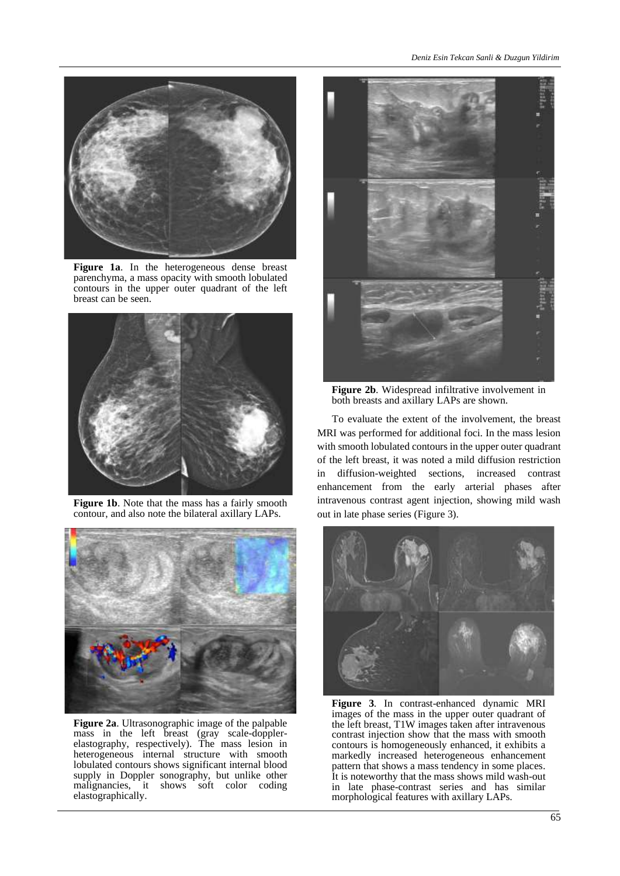

**Figure 1a**. In the heterogeneous dense breast parenchyma, a mass opacity with smooth lobulated contours in the upper outer quadrant of the left breast can be seen.



**Figure 1b**. Note that the mass has a fairly smooth contour, and also note the bilateral axillary LAPs.



**Figure 2a**. Ultrasonographic image of the palpable mass in the left breast (gray scale-dopplerelastography, respectively). The mass lesion in heterogeneous internal structure with smooth lobulated contours shows significant internal blood supply in Doppler sonography, but unlike other malignancies, it shows soft color coding elastographically.



**Figure 2b**. Widespread infiltrative involvement in both breasts and axillary LAPs are shown.

To evaluate the extent of the involvement, the breast MRI was performed for additional foci. In the mass lesion with smooth lobulated contours in the upper outer quadrant of the left breast, it was noted a mild diffusion restriction in diffusion-weighted sections, increased contrast enhancement from the early arterial phases after intravenous contrast agent injection, showing mild wash out in late phase series (Figure 3).



**Figure 3**. In contrast-enhanced dynamic MRI images of the mass in the upper outer quadrant of the left breast, T1W images taken after intravenous contrast injection show that the mass with smooth contours is homogeneously enhanced, it exhibits a markedly increased heterogeneous enhancement pattern that shows a mass tendency in some places. It is noteworthy that the mass shows mild wash-out in late phase-contrast series and has similar morphological features with axillary LAPs.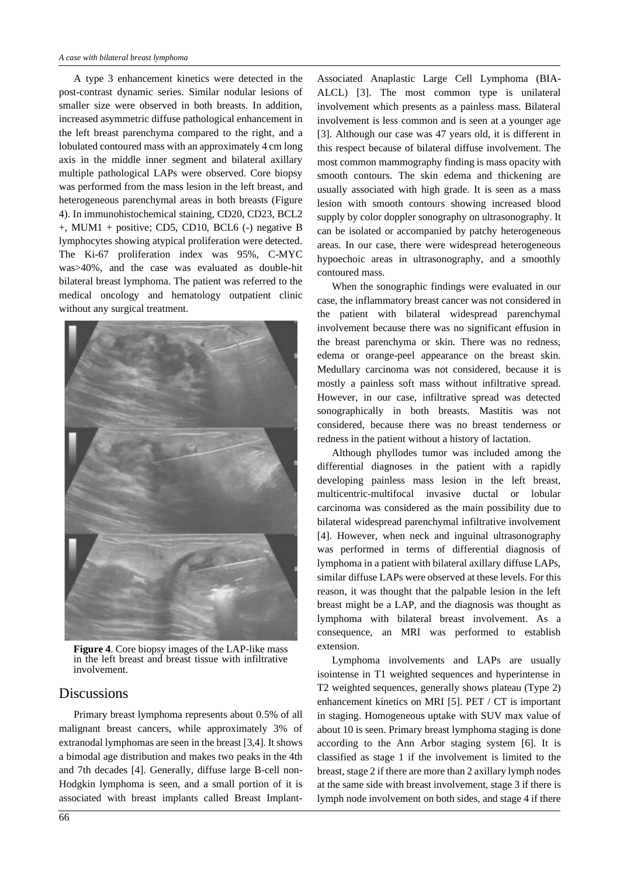A type 3 enhancement kinetics were detected in the post-contrast dynamic series. Similar nodular lesions of smaller size were observed in both breasts. In addition, increased asymmetric diffuse pathological enhancement in the left breast parenchyma compared to the right, and a lobulated contoured mass with an approximately 4 cm long axis in the middle inner segment and bilateral axillary multiple pathological LAPs were observed. Core biopsy was performed from the mass lesion in the left breast, and heterogeneous parenchymal areas in both breasts (Figure 4). In immunohistochemical staining, CD20, CD23, BCL2 +, MUM1 + positive; CD5, CD10, BCL6 (-) negative B lymphocytes showing atypical proliferation were detected. The Ki-67 proliferation index was 95%, C-MYC was>40%, and the case was evaluated as double-hit bilateral breast lymphoma. The patient was referred to the medical oncology and hematology outpatient clinic without any surgical treatment.



**Figure 4**. Core biopsy images of the LAP-like mass in the left breast and breast tissue with infiltrative involvement.

## **Discussions**

Primary breast lymphoma represents about 0.5% of all malignant breast cancers, while approximately 3% of extranodal lymphomas are seen in the breast [3,4]. It shows a bimodal age distribution and makes two peaks in the 4th and 7th decades [4]. Generally, diffuse large B-cell non-Hodgkin lymphoma is seen, and a small portion of it is associated with breast implants called Breast Implant-

Associated Anaplastic Large Cell Lymphoma (BIA-ALCL) [3]. The most common type is unilateral involvement which presents as a painless mass. Bilateral involvement is less common and is seen at a younger age [3]. Although our case was 47 years old, it is different in this respect because of bilateral diffuse involvement. The most common mammography finding is mass opacity with smooth contours. The skin edema and thickening are usually associated with high grade. It is seen as a mass lesion with smooth contours showing increased blood supply by color doppler sonography on ultrasonography. It can be isolated or accompanied by patchy heterogeneous areas. In our case, there were widespread heterogeneous hypoechoic areas in ultrasonography, and a smoothly contoured mass.

When the sonographic findings were evaluated in our case, the inflammatory breast cancer was not considered in the patient with bilateral widespread parenchymal involvement because there was no significant effusion in the breast parenchyma or skin. There was no redness, edema or orange-peel appearance on the breast skin. Medullary carcinoma was not considered, because it is mostly a painless soft mass without infiltrative spread. However, in our case, infiltrative spread was detected sonographically in both breasts. Mastitis was not considered, because there was no breast tenderness or redness in the patient without a history of lactation.

Although phyllodes tumor was included among the differential diagnoses in the patient with a rapidly developing painless mass lesion in the left breast, multicentric-multifocal invasive ductal or lobular carcinoma was considered as the main possibility due to bilateral widespread parenchymal infiltrative involvement [4]. However, when neck and inguinal ultrasonography was performed in terms of differential diagnosis of lymphoma in a patient with bilateral axillary diffuse LAPs, similar diffuse LAPs were observed at these levels. For this reason, it was thought that the palpable lesion in the left breast might be a LAP, and the diagnosis was thought as lymphoma with bilateral breast involvement. As a consequence, an MRI was performed to establish extension.

Lymphoma involvements and LAPs are usually isointense in T1 weighted sequences and hyperintense in T2 weighted sequences, generally shows plateau (Type 2) enhancement kinetics on MRI [5]. PET / CT is important in staging. Homogeneous uptake with SUV max value of about 10 is seen. Primary breast lymphoma staging is done according to the Ann Arbor staging system [6]. It is classified as stage 1 if the involvement is limited to the breast, stage 2 if there are more than 2 axillary lymph nodes at the same side with breast involvement, stage 3 if there is lymph node involvement on both sides, and stage 4 if there